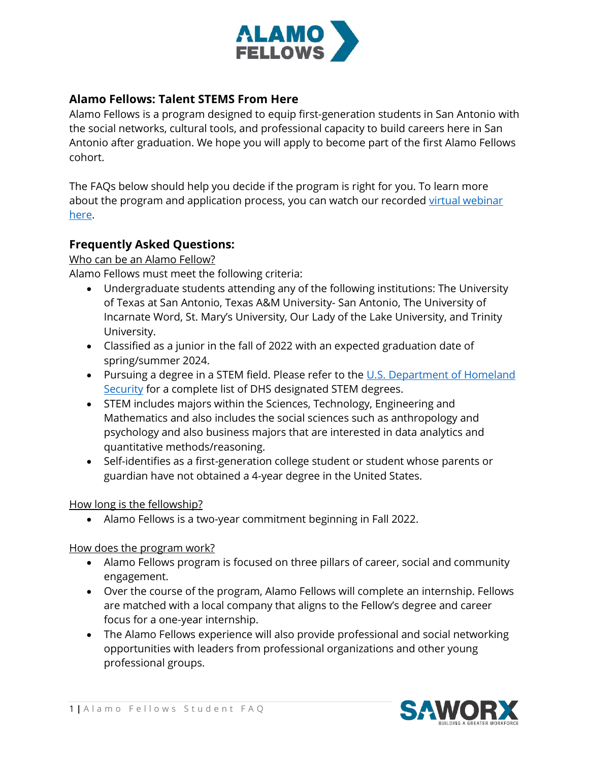

## **Alamo Fellows: Talent STEMS From Here**

Alamo Fellows is a program designed to equip first-generation students in San Antonio with the social networks, cultural tools, and professional capacity to build careers here in San Antonio after graduation. We hope you will apply to become part of the first Alamo Fellows cohort.

The FAQs below should help you decide if the program is right for you. To learn more about the program and application process, you can watch our recorded virtual webinar [here.](https://www.youtube.com/watch?v=Nt-r-FkOub0&t=4s)

## **Frequently Asked Questions:**

Who can be an Alamo Fellow?

Alamo Fellows must meet the following criteria:

- Undergraduate students attending any of the following institutions: The University of Texas at San Antonio, Texas A&M University- San Antonio, The University of Incarnate Word, St. Mary's University, Our Lady of the Lake University, and Trinity University.
- Classified as a junior in the fall of 2022 with an expected graduation date of spring/summer 2024.
- Pursuing a degree in a STEM field. Please refer to the U.S. Department of Homeland [Security](https://www.ice.gov/doclib/sevis/pdf/stemList2022.pdf) for a complete list of DHS designated STEM degrees.
- STEM includes majors within the Sciences, Technology, Engineering and Mathematics and also includes the social sciences such as anthropology and psychology and also business majors that are interested in data analytics and quantitative methods/reasoning.
- Self-identifies as a first-generation college student or student whose parents or guardian have not obtained a 4-year degree in the United States.

#### How long is the fellowship?

• Alamo Fellows is a two-year commitment beginning in Fall 2022.

How does the program work?

- Alamo Fellows program is focused on three pillars of career, social and community engagement.
- Over the course of the program, Alamo Fellows will complete an internship. Fellows are matched with a local company that aligns to the Fellow's degree and career focus for a one-year internship.
- The Alamo Fellows experience will also provide professional and social networking opportunities with leaders from professional organizations and other young professional groups.